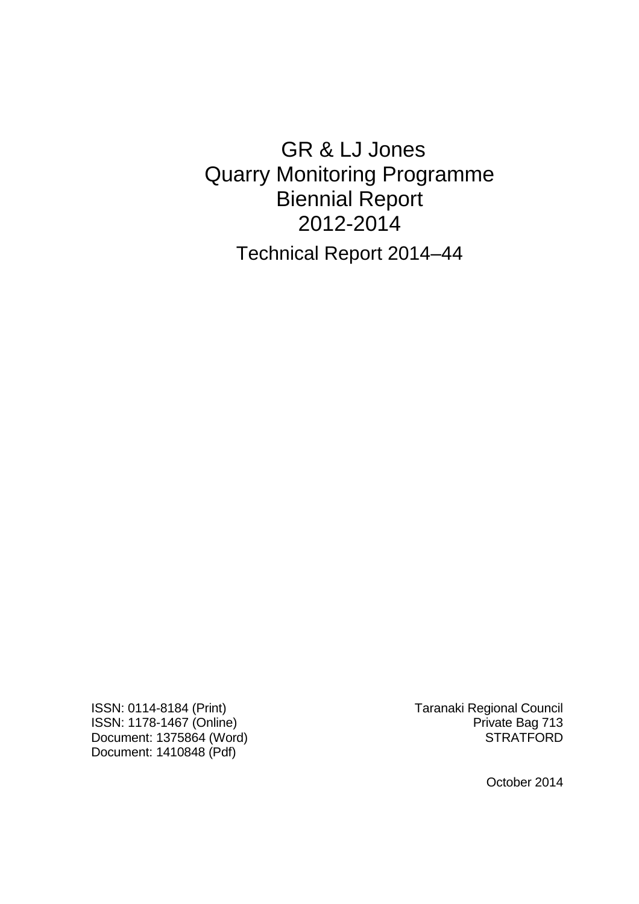# GR & LJ Jones Quarry Monitoring Programme Biennial Report 2012-2014 Technical Report 2014–44

ISSN: 0114-8184 (Print) Taranaki Regional Council ISSN: 1178-1467 (Online)<br>Document: 1375864 (Word) Private Bag 713 Document: 1375864 (Word) Document: 1410848 (Pdf)

October 2014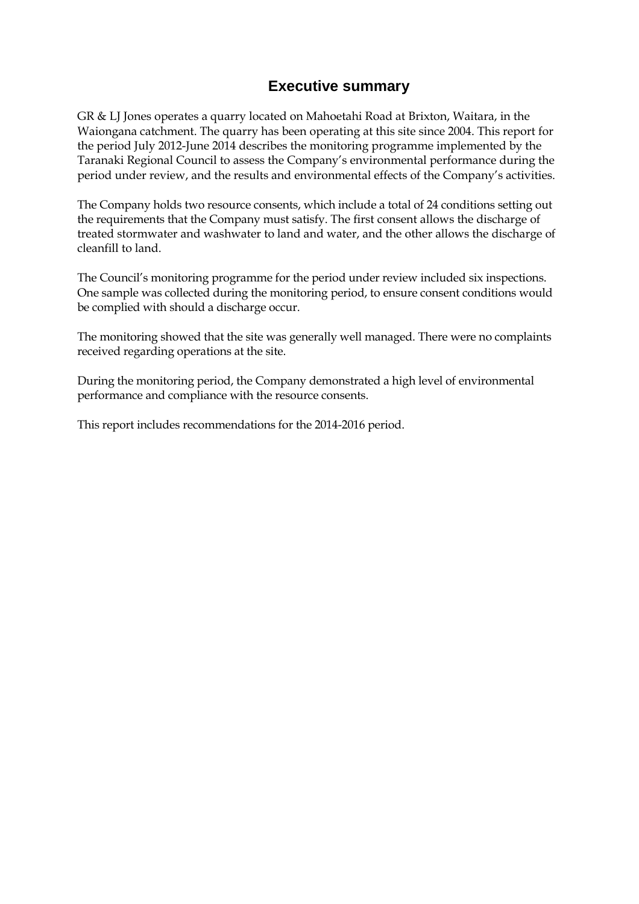## **Executive summary**

GR & LJ Jones operates a quarry located on Mahoetahi Road at Brixton, Waitara, in the Waiongana catchment. The quarry has been operating at this site since 2004. This report for the period July 2012-June 2014 describes the monitoring programme implemented by the Taranaki Regional Council to assess the Company's environmental performance during the period under review, and the results and environmental effects of the Company's activities.

The Company holds two resource consents, which include a total of 24 conditions setting out the requirements that the Company must satisfy. The first consent allows the discharge of treated stormwater and washwater to land and water, and the other allows the discharge of cleanfill to land.

The Council's monitoring programme for the period under review included six inspections. One sample was collected during the monitoring period, to ensure consent conditions would be complied with should a discharge occur.

The monitoring showed that the site was generally well managed. There were no complaints received regarding operations at the site.

During the monitoring period, the Company demonstrated a high level of environmental performance and compliance with the resource consents.

This report includes recommendations for the 2014-2016 period.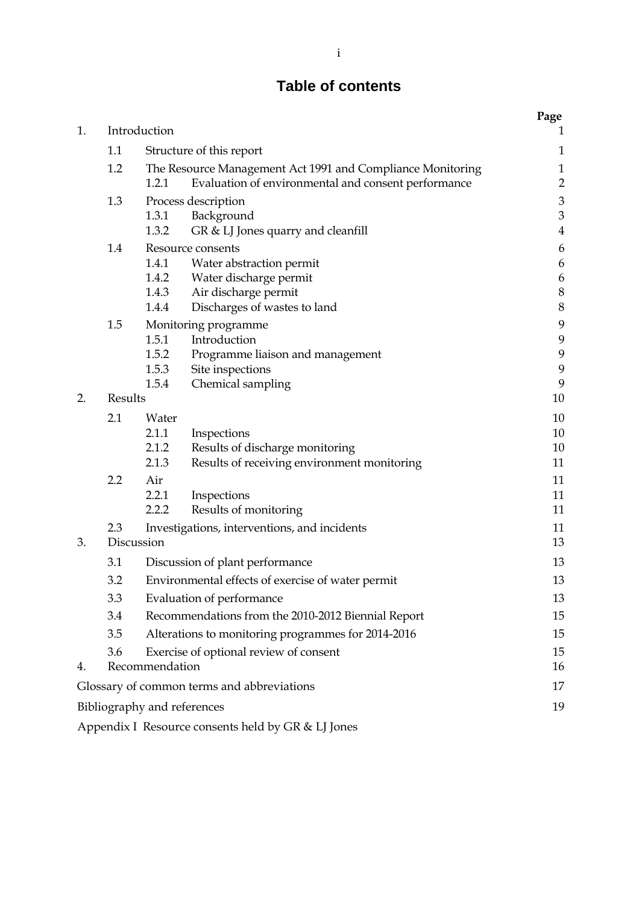## **Table of contents**

| 1.                                         |         | Introduction                                       |                                                            | Page<br>$\mathbf{1}$ |
|--------------------------------------------|---------|----------------------------------------------------|------------------------------------------------------------|----------------------|
|                                            | 1.1     |                                                    | Structure of this report                                   | $\mathbf{1}$         |
|                                            | 1.2     |                                                    | The Resource Management Act 1991 and Compliance Monitoring | $\mathbf{1}$         |
|                                            |         | 1.2.1                                              | Evaluation of environmental and consent performance        | $\overline{2}$       |
|                                            | 1.3     |                                                    | Process description                                        | $\mathfrak{Z}$       |
|                                            |         | 1.3.1                                              | Background                                                 | $\mathfrak 3$        |
|                                            |         | 1.3.2                                              | GR & LJ Jones quarry and cleanfill                         | $\bf 4$              |
|                                            | 1.4     | Resource consents<br>1.4.1                         |                                                            | $\boldsymbol{6}$     |
|                                            |         | 1.4.2                                              | Water abstraction permit<br>Water discharge permit         | 6<br>6               |
|                                            |         | 1.4.3                                              | Air discharge permit                                       | $\,8\,$              |
|                                            |         | 1.4.4                                              | Discharges of wastes to land                               | $\, 8$               |
|                                            | 1.5     |                                                    | Monitoring programme                                       | 9                    |
|                                            |         | 1.5.1                                              | Introduction                                               | $\boldsymbol{9}$     |
|                                            |         | 1.5.2                                              | Programme liaison and management                           | 9                    |
|                                            |         | 1.5.3                                              | Site inspections                                           | 9                    |
| 2.                                         | Results | 1.5.4                                              | Chemical sampling                                          | 9<br>10              |
|                                            |         |                                                    |                                                            |                      |
|                                            | 2.1     | Water<br>2.1.1                                     | Inspections                                                | 10<br>10             |
|                                            |         | 2.1.2                                              | Results of discharge monitoring                            | 10                   |
|                                            |         | 2.1.3                                              | Results of receiving environment monitoring                | 11                   |
|                                            | 2.2     | Air                                                |                                                            | 11                   |
|                                            |         | 2.2.1                                              | Inspections                                                | 11                   |
|                                            |         | 2.2.2                                              | Results of monitoring                                      | 11                   |
|                                            | 2.3     |                                                    | Investigations, interventions, and incidents               | 11                   |
| 3.                                         |         | Discussion                                         |                                                            | 13                   |
|                                            | 3.1     | Discussion of plant performance                    |                                                            | 13                   |
|                                            | 3.2     | Environmental effects of exercise of water permit  |                                                            | 13                   |
|                                            | 3.3     | Evaluation of performance                          |                                                            | 13                   |
|                                            | 3.4     | Recommendations from the 2010-2012 Biennial Report |                                                            | 15                   |
|                                            | 3.5     | Alterations to monitoring programmes for 2014-2016 |                                                            | 15                   |
|                                            | 3.6     |                                                    | Exercise of optional review of consent                     | 15                   |
| 4.                                         |         | Recommendation                                     |                                                            | 16                   |
| Glossary of common terms and abbreviations |         |                                                    | 17                                                         |                      |
|                                            |         | Bibliography and references                        |                                                            | 19                   |
|                                            |         |                                                    | Appendix I Resource consents held by GR & LJ Jones         |                      |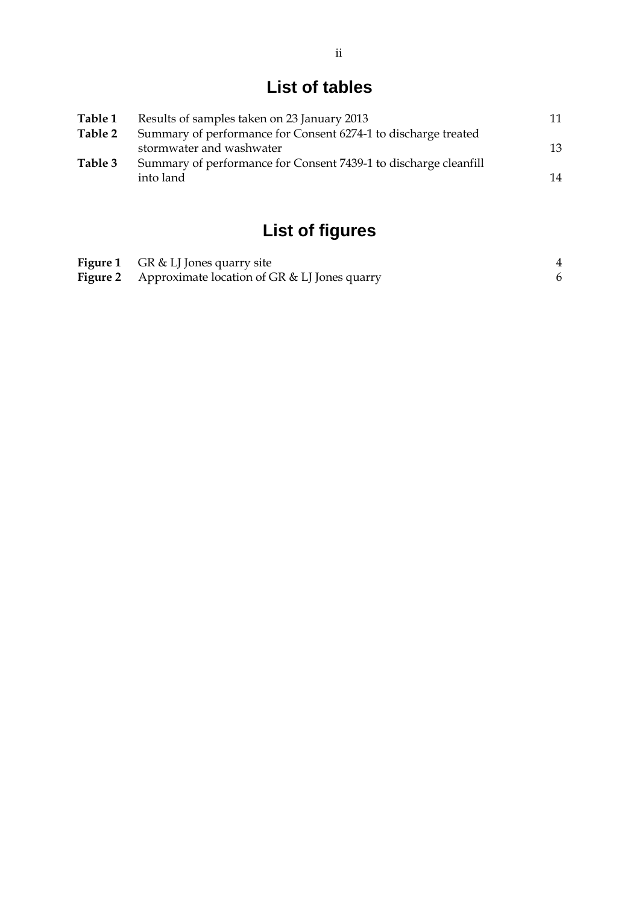## **List of tables**

| Table 1 | Results of samples taken on 23 January 2013                      | 11 |
|---------|------------------------------------------------------------------|----|
| Table 2 | Summary of performance for Consent 6274-1 to discharge treated   |    |
|         | stormwater and washwater                                         | 13 |
| Table 3 | Summary of performance for Consent 7439-1 to discharge cleanfill |    |
|         | into land                                                        | 14 |
|         |                                                                  |    |

# **List of figures**

| <b>Figure 1</b> GR & LJ Jones quarry site                    |  |
|--------------------------------------------------------------|--|
| <b>Figure 2</b> Approximate location of GR & LJ Jones quarry |  |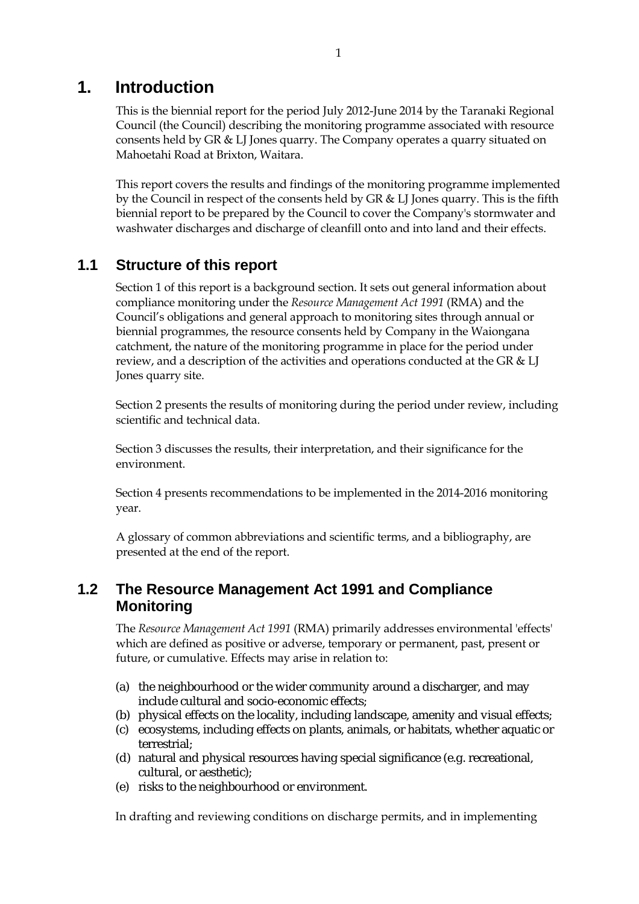## **1. Introduction**

This is the biennial report for the period July 2012-June 2014 by the Taranaki Regional Council (the Council) describing the monitoring programme associated with resource consents held by GR & LJ Jones quarry. The Company operates a quarry situated on Mahoetahi Road at Brixton, Waitara.

This report covers the results and findings of the monitoring programme implemented by the Council in respect of the consents held by GR & LJ Jones quarry. This is the fifth biennial report to be prepared by the Council to cover the Company's stormwater and washwater discharges and discharge of cleanfill onto and into land and their effects.

## **1.1 Structure of this report**

Section 1 of this report is a background section. It sets out general information about compliance monitoring under the *Resource Management Act 1991* (RMA) and the Council's obligations and general approach to monitoring sites through annual or biennial programmes, the resource consents held by Company in the Waiongana catchment, the nature of the monitoring programme in place for the period under review, and a description of the activities and operations conducted at the GR & LJ Jones quarry site.

Section 2 presents the results of monitoring during the period under review, including scientific and technical data.

Section 3 discusses the results, their interpretation, and their significance for the environment.

Section 4 presents recommendations to be implemented in the 2014-2016 monitoring year.

A glossary of common abbreviations and scientific terms, and a bibliography, are presented at the end of the report.

## **1.2 The Resource Management Act 1991 and Compliance Monitoring**

The *Resource Management Act 1991* (RMA) primarily addresses environmental 'effects' which are defined as positive or adverse, temporary or permanent, past, present or future, or cumulative. Effects may arise in relation to:

- (a) the neighbourhood or the wider community around a discharger, and may include cultural and socio-economic effects;
- (b) physical effects on the locality, including landscape, amenity and visual effects;
- (c) ecosystems, including effects on plants, animals, or habitats, whether aquatic or terrestrial;
- (d) natural and physical resources having special significance (e.g. recreational, cultural, or aesthetic);
- (e) risks to the neighbourhood or environment.

In drafting and reviewing conditions on discharge permits, and in implementing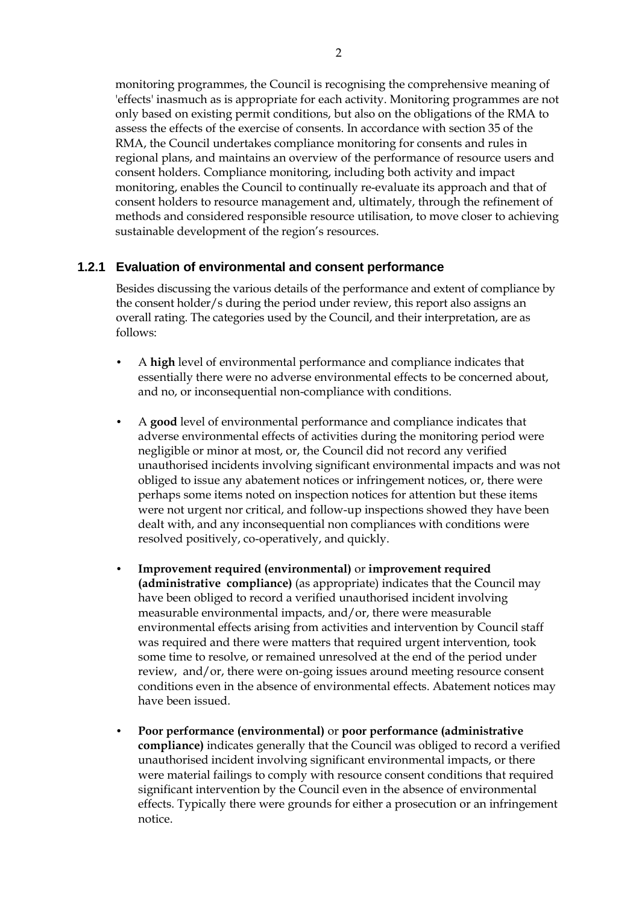monitoring programmes, the Council is recognising the comprehensive meaning of 'effects' inasmuch as is appropriate for each activity. Monitoring programmes are not only based on existing permit conditions, but also on the obligations of the RMA to assess the effects of the exercise of consents. In accordance with section 35 of the RMA, the Council undertakes compliance monitoring for consents and rules in regional plans, and maintains an overview of the performance of resource users and consent holders. Compliance monitoring, including both activity and impact monitoring, enables the Council to continually re-evaluate its approach and that of consent holders to resource management and, ultimately, through the refinement of methods and considered responsible resource utilisation, to move closer to achieving sustainable development of the region's resources.

#### **1.2.1 Evaluation of environmental and consent performance**

Besides discussing the various details of the performance and extent of compliance by the consent holder/s during the period under review, this report also assigns an overall rating. The categories used by the Council, and their interpretation, are as follows:

- A **high** level of environmental performance and compliance indicates that essentially there were no adverse environmental effects to be concerned about, and no, or inconsequential non-compliance with conditions.
- A **good** level of environmental performance and compliance indicates that adverse environmental effects of activities during the monitoring period were negligible or minor at most, or, the Council did not record any verified unauthorised incidents involving significant environmental impacts and was not obliged to issue any abatement notices or infringement notices, or, there were perhaps some items noted on inspection notices for attention but these items were not urgent nor critical, and follow-up inspections showed they have been dealt with, and any inconsequential non compliances with conditions were resolved positively, co-operatively, and quickly.
- **Improvement required (environmental)** or **improvement required (administrative compliance)** (as appropriate) indicates that the Council may have been obliged to record a verified unauthorised incident involving measurable environmental impacts, and/or, there were measurable environmental effects arising from activities and intervention by Council staff was required and there were matters that required urgent intervention, took some time to resolve, or remained unresolved at the end of the period under review, and/or, there were on-going issues around meeting resource consent conditions even in the absence of environmental effects. Abatement notices may have been issued.
- **Poor performance (environmental)** or **poor performance (administrative compliance)** indicates generally that the Council was obliged to record a verified unauthorised incident involving significant environmental impacts, or there were material failings to comply with resource consent conditions that required significant intervention by the Council even in the absence of environmental effects. Typically there were grounds for either a prosecution or an infringement notice.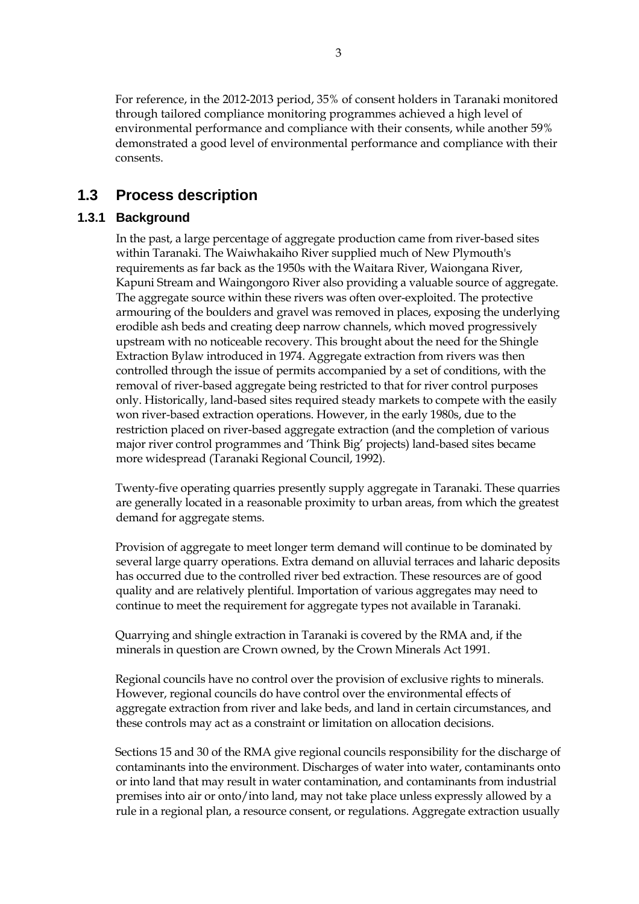For reference, in the 2012-2013 period, 35% of consent holders in Taranaki monitored through tailored compliance monitoring programmes achieved a high level of environmental performance and compliance with their consents, while another 59% demonstrated a good level of environmental performance and compliance with their consents.

### **1.3 Process description**

#### **1.3.1 Background**

 In the past, a large percentage of aggregate production came from river-based sites within Taranaki. The Waiwhakaiho River supplied much of New Plymouth's requirements as far back as the 1950s with the Waitara River, Waiongana River, Kapuni Stream and Waingongoro River also providing a valuable source of aggregate. The aggregate source within these rivers was often over-exploited. The protective armouring of the boulders and gravel was removed in places, exposing the underlying erodible ash beds and creating deep narrow channels, which moved progressively upstream with no noticeable recovery. This brought about the need for the Shingle Extraction Bylaw introduced in 1974. Aggregate extraction from rivers was then controlled through the issue of permits accompanied by a set of conditions, with the removal of river-based aggregate being restricted to that for river control purposes only. Historically, land-based sites required steady markets to compete with the easily won river-based extraction operations. However, in the early 1980s, due to the restriction placed on river-based aggregate extraction (and the completion of various major river control programmes and 'Think Big' projects) land-based sites became more widespread (Taranaki Regional Council, 1992).

 Twenty-five operating quarries presently supply aggregate in Taranaki. These quarries are generally located in a reasonable proximity to urban areas, from which the greatest demand for aggregate stems.

 Provision of aggregate to meet longer term demand will continue to be dominated by several large quarry operations. Extra demand on alluvial terraces and laharic deposits has occurred due to the controlled river bed extraction. These resources are of good quality and are relatively plentiful. Importation of various aggregates may need to continue to meet the requirement for aggregate types not available in Taranaki.

 Quarrying and shingle extraction in Taranaki is covered by the RMA and, if the minerals in question are Crown owned, by the Crown Minerals Act 1991.

 Regional councils have no control over the provision of exclusive rights to minerals. However, regional councils do have control over the environmental effects of aggregate extraction from river and lake beds, and land in certain circumstances, and these controls may act as a constraint or limitation on allocation decisions.

 Sections 15 and 30 of the RMA give regional councils responsibility for the discharge of contaminants into the environment. Discharges of water into water, contaminants onto or into land that may result in water contamination, and contaminants from industrial premises into air or onto/into land, may not take place unless expressly allowed by a rule in a regional plan, a resource consent, or regulations. Aggregate extraction usually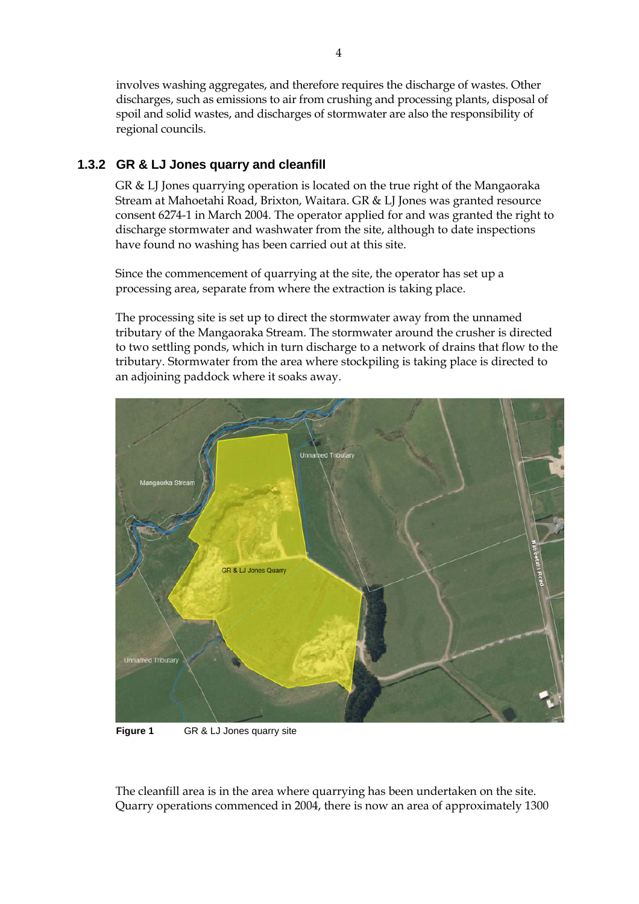involves washing aggregates, and therefore requires the discharge of wastes. Other discharges, such as emissions to air from crushing and processing plants, disposal of spoil and solid wastes, and discharges of stormwater are also the responsibility of regional councils.

#### **1.3.2 GR & LJ Jones quarry and cleanfill**

GR & LJ Jones quarrying operation is located on the true right of the Mangaoraka Stream at Mahoetahi Road, Brixton, Waitara. GR & LJ Jones was granted resource consent 6274-1 in March 2004. The operator applied for and was granted the right to discharge stormwater and washwater from the site, although to date inspections have found no washing has been carried out at this site.

Since the commencement of quarrying at the site, the operator has set up a processing area, separate from where the extraction is taking place.

The processing site is set up to direct the stormwater away from the unnamed tributary of the Mangaoraka Stream. The stormwater around the crusher is directed to two settling ponds, which in turn discharge to a network of drains that flow to the tributary. Stormwater from the area where stockpiling is taking place is directed to an adjoining paddock where it soaks away.



**Figure 1** GR & LJ Jones quarry site

The cleanfill area is in the area where quarrying has been undertaken on the site. Quarry operations commenced in 2004, there is now an area of approximately 1300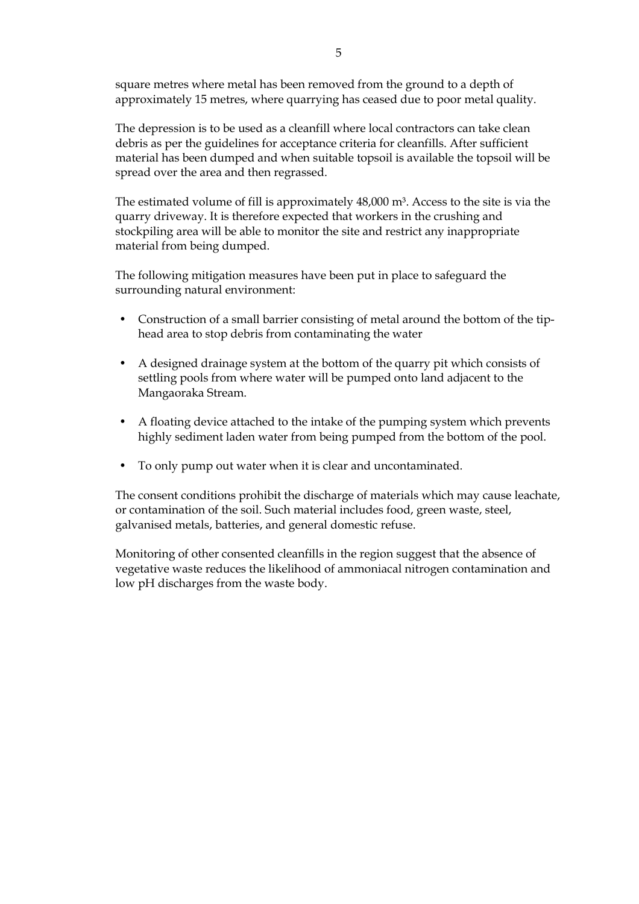square metres where metal has been removed from the ground to a depth of approximately 15 metres, where quarrying has ceased due to poor metal quality.

The depression is to be used as a cleanfill where local contractors can take clean debris as per the guidelines for acceptance criteria for cleanfills. After sufficient material has been dumped and when suitable topsoil is available the topsoil will be spread over the area and then regrassed.

The estimated volume of fill is approximately  $48,000$  m<sup>3</sup>. Access to the site is via the quarry driveway. It is therefore expected that workers in the crushing and stockpiling area will be able to monitor the site and restrict any inappropriate material from being dumped.

The following mitigation measures have been put in place to safeguard the surrounding natural environment:

- Construction of a small barrier consisting of metal around the bottom of the tiphead area to stop debris from contaminating the water
- A designed drainage system at the bottom of the quarry pit which consists of settling pools from where water will be pumped onto land adjacent to the Mangaoraka Stream.
- A floating device attached to the intake of the pumping system which prevents highly sediment laden water from being pumped from the bottom of the pool.
- To only pump out water when it is clear and uncontaminated.

The consent conditions prohibit the discharge of materials which may cause leachate, or contamination of the soil. Such material includes food, green waste, steel, galvanised metals, batteries, and general domestic refuse.

Monitoring of other consented cleanfills in the region suggest that the absence of vegetative waste reduces the likelihood of ammoniacal nitrogen contamination and low pH discharges from the waste body.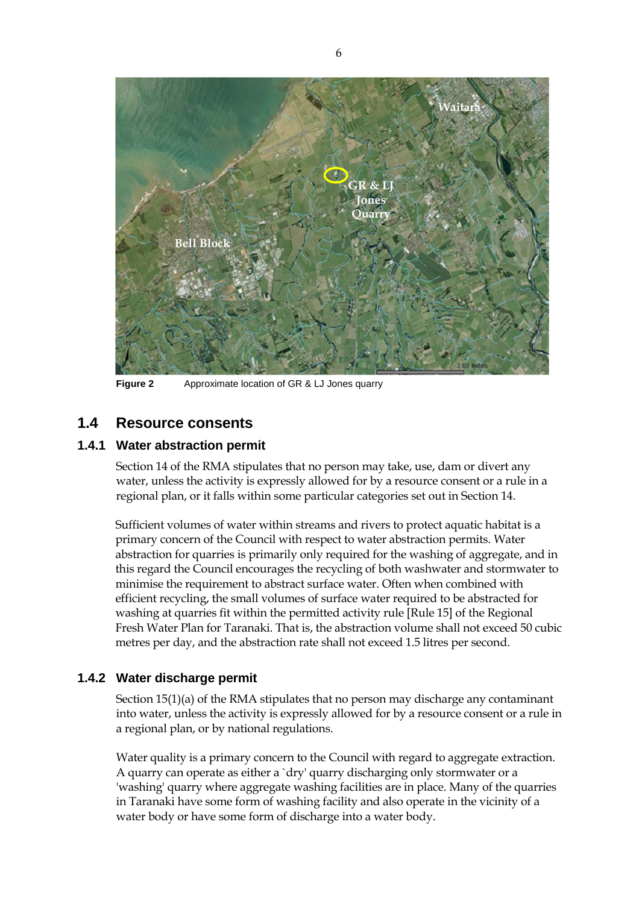

**Figure 2** Approximate location of GR & LJ Jones quarry

### **1.4 Resource consents**

#### **1.4.1 Water abstraction permit**

Section 14 of the RMA stipulates that no person may take, use, dam or divert any water, unless the activity is expressly allowed for by a resource consent or a rule in a regional plan, or it falls within some particular categories set out in Section 14.

Sufficient volumes of water within streams and rivers to protect aquatic habitat is a primary concern of the Council with respect to water abstraction permits. Water abstraction for quarries is primarily only required for the washing of aggregate, and in this regard the Council encourages the recycling of both washwater and stormwater to minimise the requirement to abstract surface water. Often when combined with efficient recycling, the small volumes of surface water required to be abstracted for washing at quarries fit within the permitted activity rule [Rule 15] of the Regional Fresh Water Plan for Taranaki. That is, the abstraction volume shall not exceed 50 cubic metres per day, and the abstraction rate shall not exceed 1.5 litres per second.

#### **1.4.2 Water discharge permit**

Section 15(1)(a) of the RMA stipulates that no person may discharge any contaminant into water, unless the activity is expressly allowed for by a resource consent or a rule in a regional plan, or by national regulations.

 Water quality is a primary concern to the Council with regard to aggregate extraction. A quarry can operate as either a `dry' quarry discharging only stormwater or a 'washing' quarry where aggregate washing facilities are in place. Many of the quarries in Taranaki have some form of washing facility and also operate in the vicinity of a water body or have some form of discharge into a water body.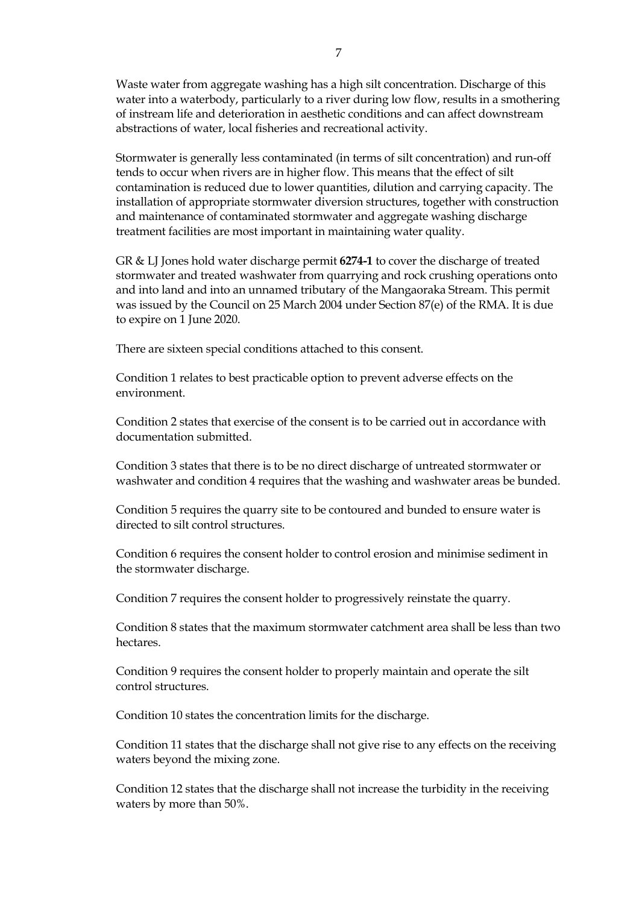Waste water from aggregate washing has a high silt concentration. Discharge of this water into a waterbody, particularly to a river during low flow, results in a smothering of instream life and deterioration in aesthetic conditions and can affect downstream abstractions of water, local fisheries and recreational activity.

Stormwater is generally less contaminated (in terms of silt concentration) and run-off tends to occur when rivers are in higher flow. This means that the effect of silt contamination is reduced due to lower quantities, dilution and carrying capacity. The installation of appropriate stormwater diversion structures, together with construction and maintenance of contaminated stormwater and aggregate washing discharge treatment facilities are most important in maintaining water quality.

GR & LJ Jones hold water discharge permit **6274-1** to cover the discharge of treated stormwater and treated washwater from quarrying and rock crushing operations onto and into land and into an unnamed tributary of the Mangaoraka Stream. This permit was issued by the Council on 25 March 2004 under Section 87(e) of the RMA. It is due to expire on 1 June 2020.

There are sixteen special conditions attached to this consent.

Condition 1 relates to best practicable option to prevent adverse effects on the environment.

Condition 2 states that exercise of the consent is to be carried out in accordance with documentation submitted.

Condition 3 states that there is to be no direct discharge of untreated stormwater or washwater and condition 4 requires that the washing and washwater areas be bunded.

Condition 5 requires the quarry site to be contoured and bunded to ensure water is directed to silt control structures.

Condition 6 requires the consent holder to control erosion and minimise sediment in the stormwater discharge.

Condition 7 requires the consent holder to progressively reinstate the quarry.

Condition 8 states that the maximum stormwater catchment area shall be less than two hectares.

Condition 9 requires the consent holder to properly maintain and operate the silt control structures.

Condition 10 states the concentration limits for the discharge.

Condition 11 states that the discharge shall not give rise to any effects on the receiving waters beyond the mixing zone.

Condition 12 states that the discharge shall not increase the turbidity in the receiving waters by more than 50%.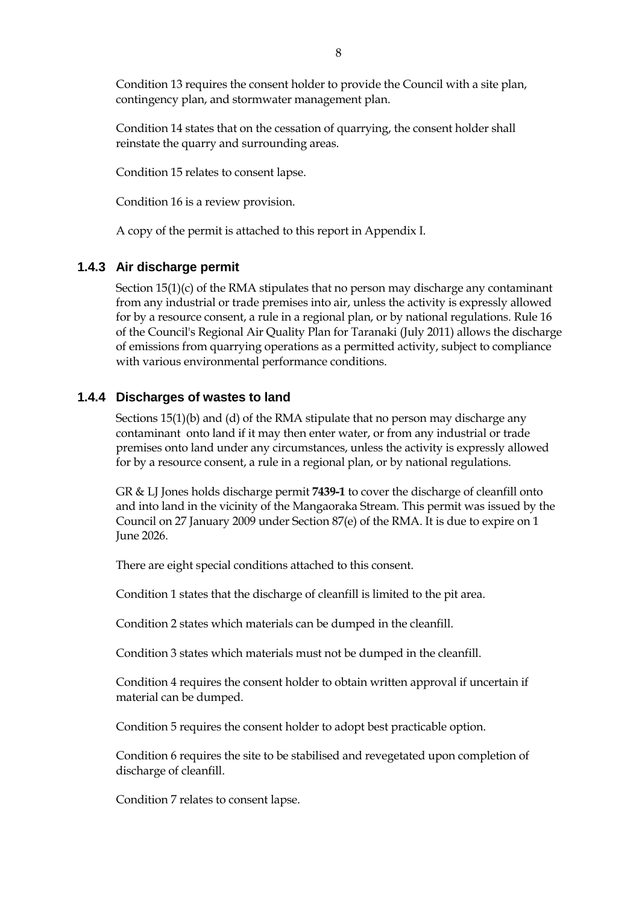Condition 13 requires the consent holder to provide the Council with a site plan, contingency plan, and stormwater management plan.

Condition 14 states that on the cessation of quarrying, the consent holder shall reinstate the quarry and surrounding areas.

Condition 15 relates to consent lapse.

Condition 16 is a review provision.

A copy of the permit is attached to this report in Appendix I.

#### **1.4.3 Air discharge permit**

Section 15(1)(c) of the RMA stipulates that no person may discharge any contaminant from any industrial or trade premises into air, unless the activity is expressly allowed for by a resource consent, a rule in a regional plan, or by national regulations. Rule 16 of the Council's Regional Air Quality Plan for Taranaki (July 2011) allows the discharge of emissions from quarrying operations as a permitted activity, subject to compliance with various environmental performance conditions.

#### **1.4.4 Discharges of wastes to land**

Sections 15(1)(b) and (d) of the RMA stipulate that no person may discharge any contaminant onto land if it may then enter water, or from any industrial or trade premises onto land under any circumstances, unless the activity is expressly allowed for by a resource consent, a rule in a regional plan, or by national regulations.

GR & LJ Jones holds discharge permit **7439-1** to cover the discharge of cleanfill onto and into land in the vicinity of the Mangaoraka Stream*.* This permit was issued by the Council on 27 January 2009 under Section 87(e) of the RMA. It is due to expire on 1 June 2026.

There are eight special conditions attached to this consent.

Condition 1 states that the discharge of cleanfill is limited to the pit area.

Condition 2 states which materials can be dumped in the cleanfill.

Condition 3 states which materials must not be dumped in the cleanfill.

Condition 4 requires the consent holder to obtain written approval if uncertain if material can be dumped.

Condition 5 requires the consent holder to adopt best practicable option.

Condition 6 requires the site to be stabilised and revegetated upon completion of discharge of cleanfill.

Condition 7 relates to consent lapse.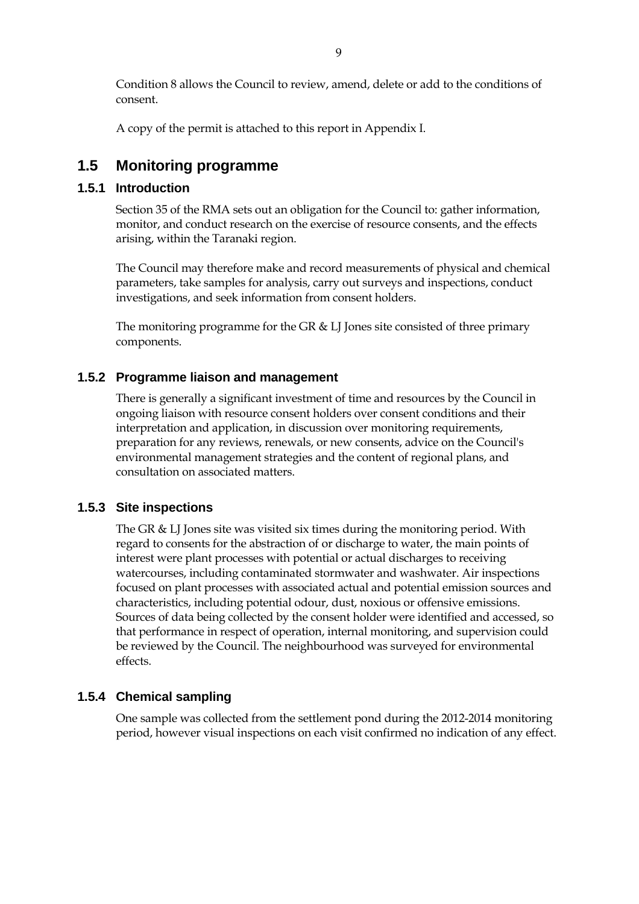Condition 8 allows the Council to review, amend, delete or add to the conditions of consent.

A copy of the permit is attached to this report in Appendix I.

### **1.5 Monitoring programme**

#### **1.5.1 Introduction**

Section 35 of the RMA sets out an obligation for the Council to: gather information, monitor, and conduct research on the exercise of resource consents, and the effects arising, within the Taranaki region.

The Council may therefore make and record measurements of physical and chemical parameters, take samples for analysis, carry out surveys and inspections, conduct investigations, and seek information from consent holders.

The monitoring programme for the GR & LJ Jones site consisted of three primary components.

#### **1.5.2 Programme liaison and management**

There is generally a significant investment of time and resources by the Council in ongoing liaison with resource consent holders over consent conditions and their interpretation and application, in discussion over monitoring requirements, preparation for any reviews, renewals, or new consents, advice on the Council's environmental management strategies and the content of regional plans, and consultation on associated matters.

#### **1.5.3 Site inspections**

The GR & LJ Jones site was visited six times during the monitoring period. With regard to consents for the abstraction of or discharge to water, the main points of interest were plant processes with potential or actual discharges to receiving watercourses, including contaminated stormwater and washwater. Air inspections focused on plant processes with associated actual and potential emission sources and characteristics, including potential odour, dust, noxious or offensive emissions. Sources of data being collected by the consent holder were identified and accessed, so that performance in respect of operation, internal monitoring, and supervision could be reviewed by the Council. The neighbourhood was surveyed for environmental effects.

#### **1.5.4 Chemical sampling**

One sample was collected from the settlement pond during the 2012-2014 monitoring period, however visual inspections on each visit confirmed no indication of any effect.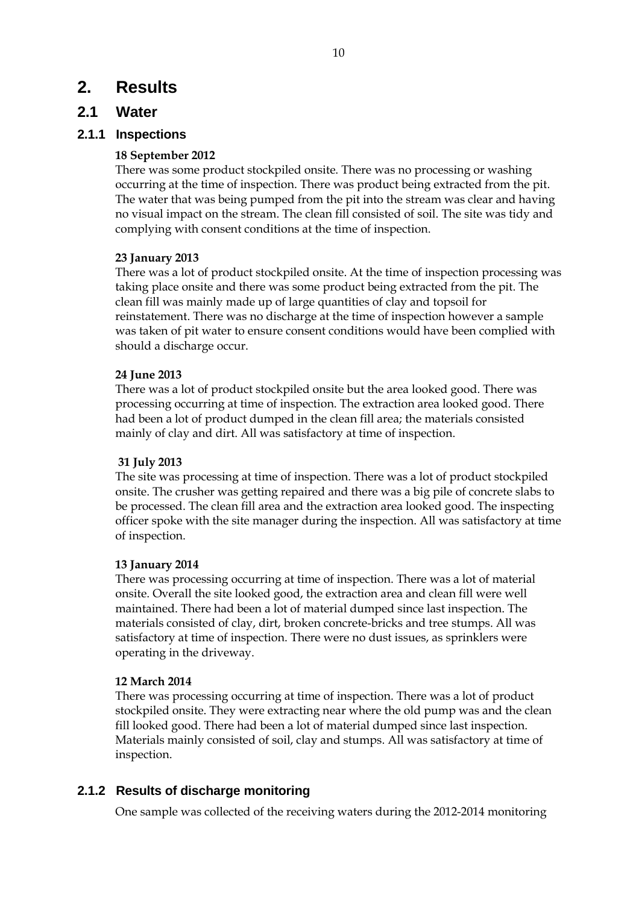## **2. Results**

### **2.1 Water**

#### **2.1.1 Inspections**

#### **18 September 2012**

There was some product stockpiled onsite. There was no processing or washing occurring at the time of inspection. There was product being extracted from the pit. The water that was being pumped from the pit into the stream was clear and having no visual impact on the stream. The clean fill consisted of soil. The site was tidy and complying with consent conditions at the time of inspection.

#### **23 January 2013**

There was a lot of product stockpiled onsite. At the time of inspection processing was taking place onsite and there was some product being extracted from the pit. The clean fill was mainly made up of large quantities of clay and topsoil for reinstatement. There was no discharge at the time of inspection however a sample was taken of pit water to ensure consent conditions would have been complied with should a discharge occur.

#### **24 June 2013**

There was a lot of product stockpiled onsite but the area looked good. There was processing occurring at time of inspection. The extraction area looked good. There had been a lot of product dumped in the clean fill area; the materials consisted mainly of clay and dirt. All was satisfactory at time of inspection.

#### **31 July 2013**

The site was processing at time of inspection. There was a lot of product stockpiled onsite. The crusher was getting repaired and there was a big pile of concrete slabs to be processed. The clean fill area and the extraction area looked good. The inspecting officer spoke with the site manager during the inspection. All was satisfactory at time of inspection.

#### **13 January 2014**

There was processing occurring at time of inspection. There was a lot of material onsite. Overall the site looked good, the extraction area and clean fill were well maintained. There had been a lot of material dumped since last inspection. The materials consisted of clay, dirt, broken concrete-bricks and tree stumps. All was satisfactory at time of inspection. There were no dust issues, as sprinklers were operating in the driveway.

#### **12 March 2014**

There was processing occurring at time of inspection. There was a lot of product stockpiled onsite. They were extracting near where the old pump was and the clean fill looked good. There had been a lot of material dumped since last inspection. Materials mainly consisted of soil, clay and stumps. All was satisfactory at time of inspection.

#### **2.1.2 Results of discharge monitoring**

One sample was collected of the receiving waters during the 2012-2014 monitoring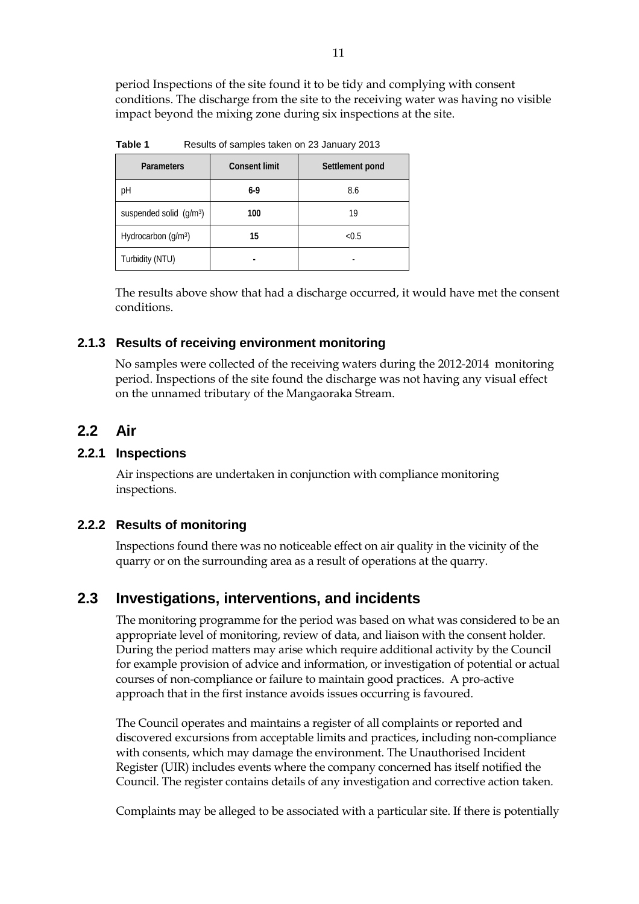period Inspections of the site found it to be tidy and complying with consent conditions. The discharge from the site to the receiving water was having no visible impact beyond the mixing zone during six inspections at the site.

**Table 1** Results of samples taken on 23 January 2013

| <b>Parameters</b>                            | <b>Consent limit</b> | Settlement pond |
|----------------------------------------------|----------------------|-----------------|
| рH                                           | 6-9                  | 8.6             |
| suspended solid $\left(\frac{q}{m^3}\right)$ | 100                  | 19              |
| Hydrocarbon (g/m <sup>3</sup> )              | 15                   | < 0.5           |
| Turbidity (NTU)                              |                      |                 |

The results above show that had a discharge occurred, it would have met the consent conditions.

#### **2.1.3 Results of receiving environment monitoring**

No samples were collected of the receiving waters during the 2012-2014 monitoring period. Inspections of the site found the discharge was not having any visual effect on the unnamed tributary of the Mangaoraka Stream.

### **2.2 Air**

#### **2.2.1 Inspections**

Air inspections are undertaken in conjunction with compliance monitoring inspections.

#### **2.2.2 Results of monitoring**

Inspections found there was no noticeable effect on air quality in the vicinity of the quarry or on the surrounding area as a result of operations at the quarry.

### **2.3 Investigations, interventions, and incidents**

The monitoring programme for the period was based on what was considered to be an appropriate level of monitoring, review of data, and liaison with the consent holder. During the period matters may arise which require additional activity by the Council for example provision of advice and information, or investigation of potential or actual courses of non-compliance or failure to maintain good practices. A pro-active approach that in the first instance avoids issues occurring is favoured.

The Council operates and maintains a register of all complaints or reported and discovered excursions from acceptable limits and practices, including non-compliance with consents, which may damage the environment. The Unauthorised Incident Register (UIR) includes events where the company concerned has itself notified the Council. The register contains details of any investigation and corrective action taken.

Complaints may be alleged to be associated with a particular site. If there is potentially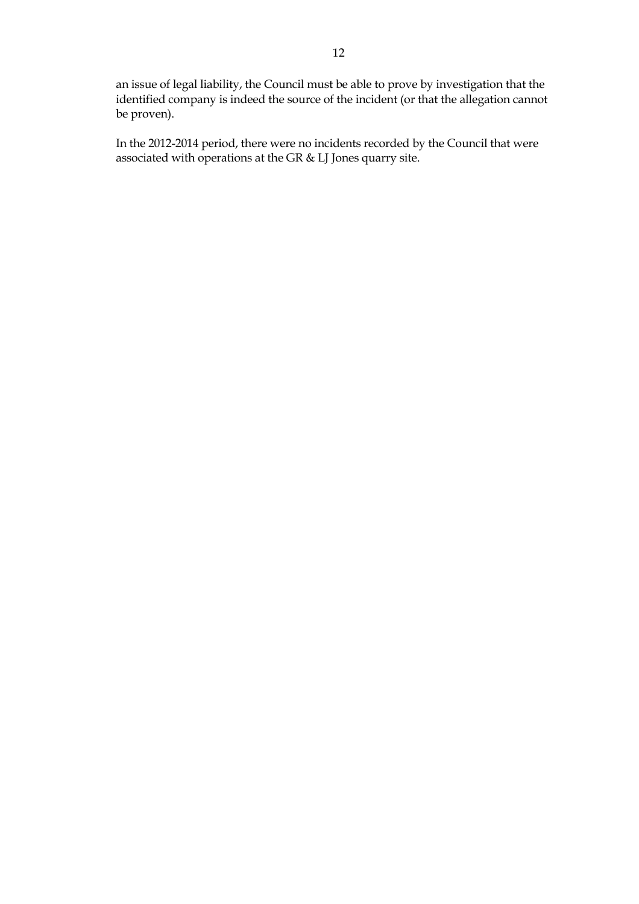an issue of legal liability, the Council must be able to prove by investigation that the identified company is indeed the source of the incident (or that the allegation cannot be proven).

In the 2012-2014 period, there were no incidents recorded by the Council that were associated with operations at the GR & LJ Jones quarry site.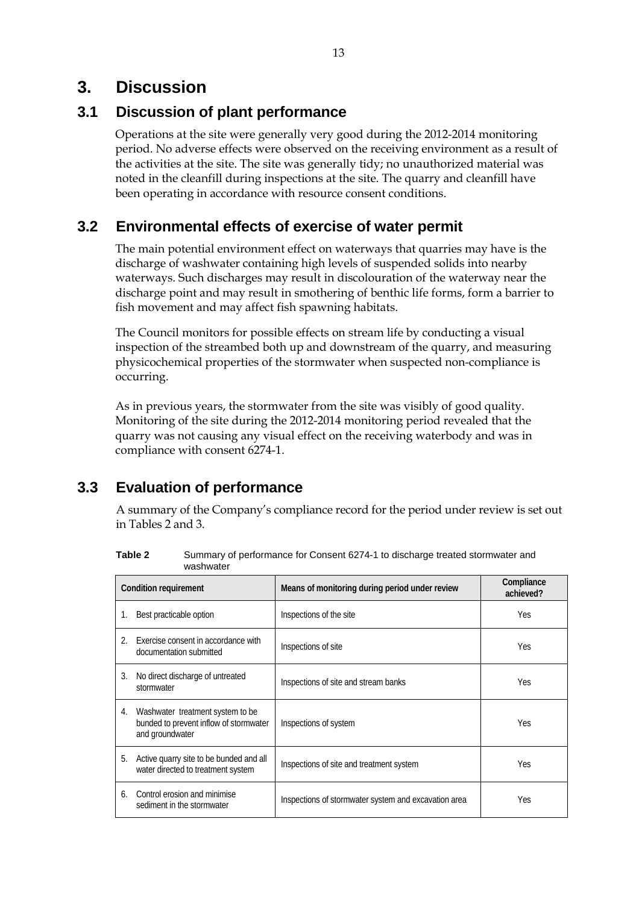## **3. Discussion**

## **3.1 Discussion of plant performance**

Operations at the site were generally very good during the 2012-2014 monitoring period. No adverse effects were observed on the receiving environment as a result of the activities at the site. The site was generally tidy; no unauthorized material was noted in the cleanfill during inspections at the site. The quarry and cleanfill have been operating in accordance with resource consent conditions.

## **3.2 Environmental effects of exercise of water permit**

The main potential environment effect on waterways that quarries may have is the discharge of washwater containing high levels of suspended solids into nearby waterways. Such discharges may result in discolouration of the waterway near the discharge point and may result in smothering of benthic life forms, form a barrier to fish movement and may affect fish spawning habitats.

The Council monitors for possible effects on stream life by conducting a visual inspection of the streambed both up and downstream of the quarry, and measuring physicochemical properties of the stormwater when suspected non-compliance is occurring.

As in previous years, the stormwater from the site was visibly of good quality. Monitoring of the site during the 2012-2014 monitoring period revealed that the quarry was not causing any visual effect on the receiving waterbody and was in compliance with consent 6274-1.

## **3.3 Evaluation of performance**

A summary of the Company's compliance record for the period under review is set out in Tables 2 and 3.

|                       | <b>Condition requirement</b>                                                                  | Means of monitoring during period under review       | Compliance<br>achieved? |
|-----------------------|-----------------------------------------------------------------------------------------------|------------------------------------------------------|-------------------------|
| 1.                    | Best practicable option                                                                       | Inspections of the site                              | <b>Yes</b>              |
| $\mathcal{D}_{\cdot}$ | Exercise consent in accordance with<br>documentation submitted                                | Inspections of site                                  | Yes.                    |
| 3.                    | No direct discharge of untreated<br>stormwater                                                | Inspections of site and stream banks                 | Yes                     |
| 4.                    | Washwater treatment system to be<br>bunded to prevent inflow of stormwater<br>and groundwater | Inspections of system                                | Yes                     |
| 5.                    | Active quarry site to be bunded and all<br>water directed to treatment system                 | Inspections of site and treatment system             | <b>Yes</b>              |
| 6.                    | Control erosion and minimise<br>sediment in the stormwater                                    | Inspections of stormwater system and excavation area | <b>Yes</b>              |

**Table 2** Summary of performance for Consent 6274-1 to discharge treated stormwater and washwater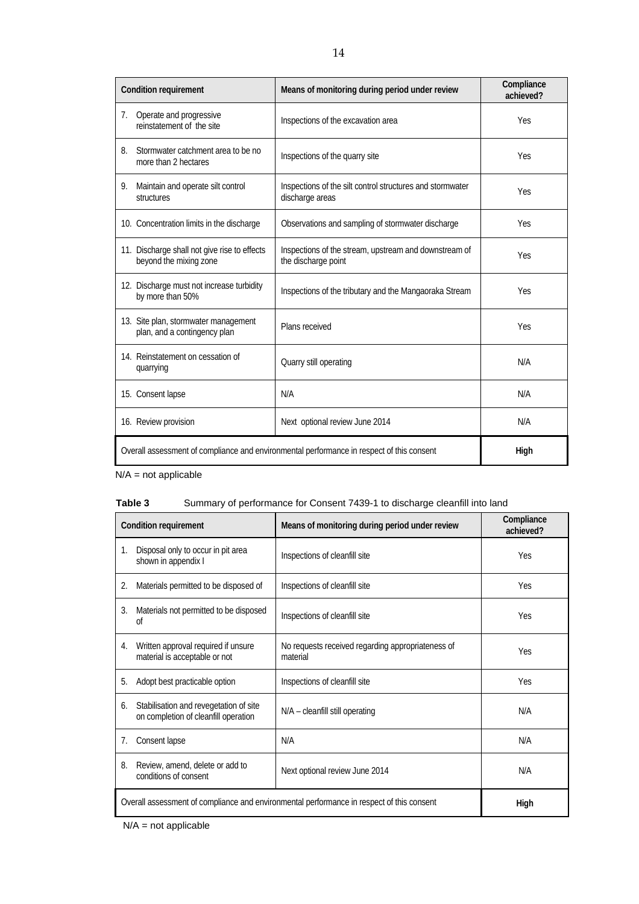| <b>Condition requirement</b>                                                              | Means of monitoring during period under review                               | Compliance<br>achieved? |
|-------------------------------------------------------------------------------------------|------------------------------------------------------------------------------|-------------------------|
| Operate and progressive<br>7.<br>reinstatement of the site                                | Inspections of the excavation area                                           | Yes                     |
| Stormwater catchment area to be no<br>8.<br>more than 2 hectares                          | Inspections of the quarry site                                               | <b>Yes</b>              |
| 9.<br>Maintain and operate silt control<br>structures                                     | Inspections of the silt control structures and stormwater<br>discharge areas | <b>Yes</b>              |
| 10. Concentration limits in the discharge                                                 | Observations and sampling of stormwater discharge                            | Yes                     |
| 11. Discharge shall not give rise to effects<br>beyond the mixing zone                    | Inspections of the stream, upstream and downstream of<br>the discharge point | Yes                     |
| 12. Discharge must not increase turbidity<br>by more than 50%                             | Inspections of the tributary and the Mangaoraka Stream                       | <b>Yes</b>              |
| 13. Site plan, stormwater management<br>plan, and a contingency plan                      | Plans received                                                               | Yes                     |
| 14. Reinstatement on cessation of<br>quarrying                                            | Quarry still operating                                                       | N/A                     |
| 15. Consent lapse                                                                         | N/A                                                                          | N/A                     |
| 16. Review provision                                                                      | Next optional review June 2014                                               | N/A                     |
| Overall assessment of compliance and environmental performance in respect of this consent | High                                                                         |                         |

N/A = not applicable

#### **Table 3** Summary of performance for Consent 7439-1 to discharge cleanfill into land

|    | <b>Condition requirement</b>                                                                      | Means of monitoring during period under review                | Compliance<br>achieved? |
|----|---------------------------------------------------------------------------------------------------|---------------------------------------------------------------|-------------------------|
| 1. | Disposal only to occur in pit area<br>shown in appendix I                                         | Inspections of cleanfill site                                 | Yes                     |
| 2. | Materials permitted to be disposed of                                                             | Inspections of cleanfill site                                 | Yes                     |
| 3. | Materials not permitted to be disposed<br>0f                                                      | Inspections of cleanfill site                                 | Yes                     |
| 4. | Written approval required if unsure<br>material is acceptable or not                              | No requests received regarding appropriateness of<br>material | Yes                     |
| 5. | Adopt best practicable option                                                                     | Inspections of cleanfill site                                 | Yes                     |
| 6. | Stabilisation and revegetation of site<br>on completion of cleanfill operation                    | N/A - cleanfill still operating                               | N/A                     |
| 7. | Consent lapse                                                                                     | N/A                                                           | N/A                     |
| 8. | Review, amend, delete or add to<br>conditions of consent                                          | Next optional review June 2014                                | N/A                     |
|    | Overall assessment of compliance and environmental performance in respect of this consent<br>High |                                                               |                         |

N/A = not applicable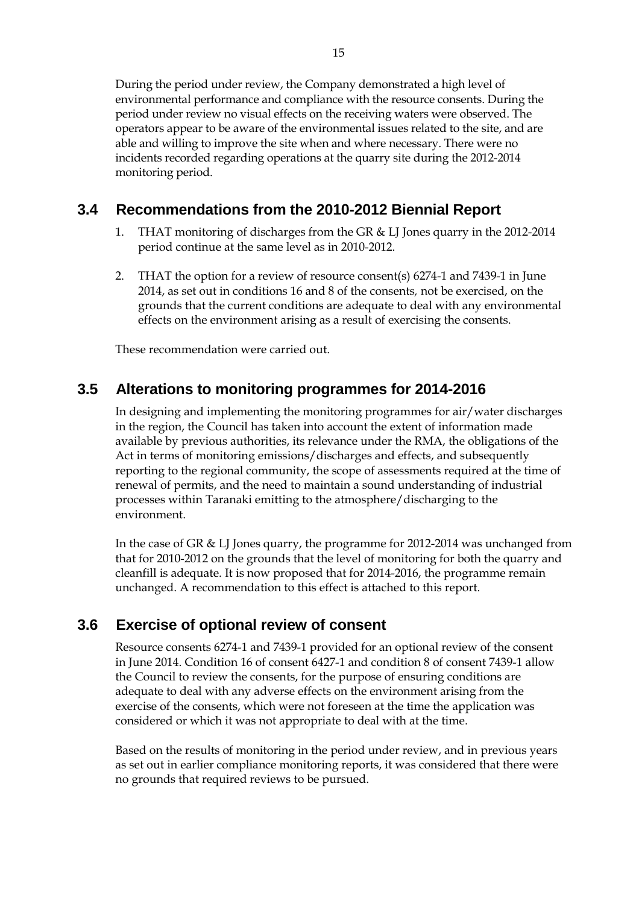During the period under review, the Company demonstrated a high level of environmental performance and compliance with the resource consents. During the period under review no visual effects on the receiving waters were observed. The operators appear to be aware of the environmental issues related to the site, and are

able and willing to improve the site when and where necessary. There were no incidents recorded regarding operations at the quarry site during the 2012-2014 monitoring period.

## **3.4 Recommendations from the 2010-2012 Biennial Report**

- THAT monitoring of discharges from the GR  $&$  LJ Jones quarry in the 2012-2014 period continue at the same level as in 2010-2012.
- 2. THAT the option for a review of resource consent(s) 6274-1 and 7439-1 in June 2014, as set out in conditions 16 and 8 of the consents*,* not be exercised, on the grounds that the current conditions are adequate to deal with any environmental effects on the environment arising as a result of exercising the consents.

These recommendation were carried out.

### **3.5 Alterations to monitoring programmes for 2014-2016**

In designing and implementing the monitoring programmes for air/water discharges in the region, the Council has taken into account the extent of information made available by previous authorities, its relevance under the RMA, the obligations of the Act in terms of monitoring emissions/discharges and effects, and subsequently reporting to the regional community, the scope of assessments required at the time of renewal of permits, and the need to maintain a sound understanding of industrial processes within Taranaki emitting to the atmosphere/discharging to the environment.

In the case of GR & LJ Jones quarry, the programme for 2012-2014 was unchanged from that for 2010-2012 on the grounds that the level of monitoring for both the quarry and cleanfill is adequate. It is now proposed that for 2014-2016, the programme remain unchanged. A recommendation to this effect is attached to this report.

## **3.6 Exercise of optional review of consent**

Resource consents 6274-1 and 7439-1 provided for an optional review of the consent in June 2014. Condition 16 of consent 6427-1 and condition 8 of consent 7439-1 allow the Council to review the consents, for the purpose of ensuring conditions are adequate to deal with any adverse effects on the environment arising from the exercise of the consents, which were not foreseen at the time the application was considered or which it was not appropriate to deal with at the time.

Based on the results of monitoring in the period under review, and in previous years as set out in earlier compliance monitoring reports, it was considered that there were no grounds that required reviews to be pursued.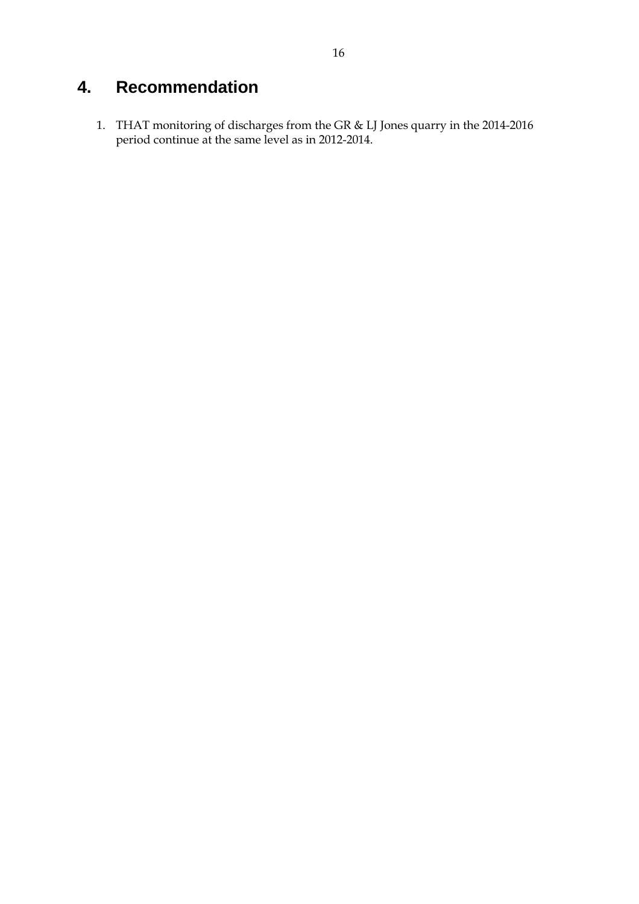## **4. Recommendation**

1. THAT monitoring of discharges from the GR & LJ Jones quarry in the 2014-2016 period continue at the same level as in 2012-2014.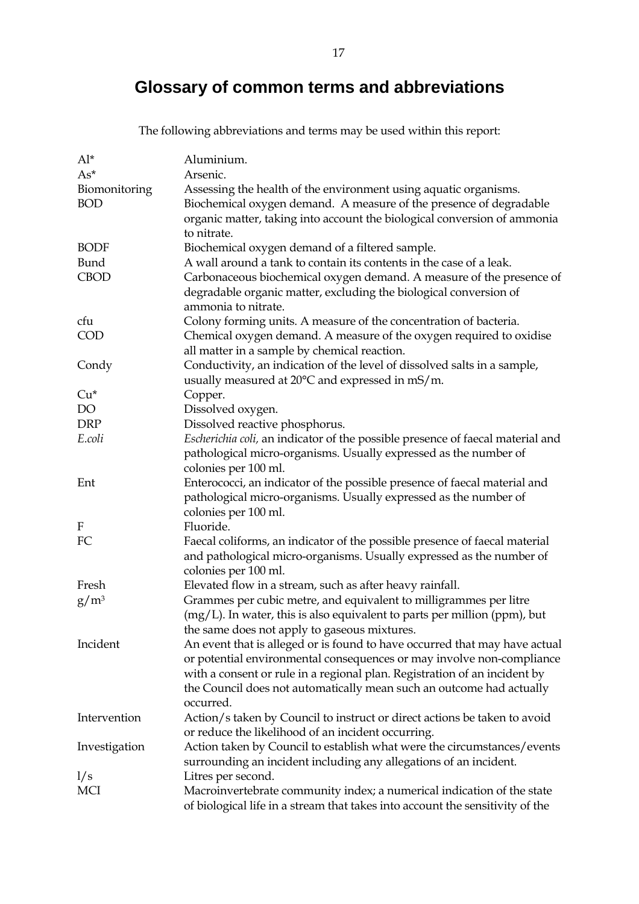## **Glossary of common terms and abbreviations**

The following abbreviations and terms may be used within this report:

| $Al^*$        | Aluminium.                                                                     |
|---------------|--------------------------------------------------------------------------------|
| $As^*$        | Arsenic.                                                                       |
| Biomonitoring | Assessing the health of the environment using aquatic organisms.               |
| <b>BOD</b>    | Biochemical oxygen demand. A measure of the presence of degradable             |
|               | organic matter, taking into account the biological conversion of ammonia       |
|               | to nitrate.                                                                    |
| <b>BODF</b>   | Biochemical oxygen demand of a filtered sample.                                |
| Bund          | A wall around a tank to contain its contents in the case of a leak.            |
| <b>CBOD</b>   | Carbonaceous biochemical oxygen demand. A measure of the presence of           |
|               | degradable organic matter, excluding the biological conversion of              |
|               | ammonia to nitrate.                                                            |
| cfu           | Colony forming units. A measure of the concentration of bacteria.              |
| COD           | Chemical oxygen demand. A measure of the oxygen required to oxidise            |
|               | all matter in a sample by chemical reaction.                                   |
| Condy         | Conductivity, an indication of the level of dissolved salts in a sample,       |
|               | usually measured at 20°C and expressed in mS/m.                                |
| $Cu*$         | Copper.                                                                        |
| DO            | Dissolved oxygen.                                                              |
| <b>DRP</b>    | Dissolved reactive phosphorus.                                                 |
| E.coli        | Escherichia coli, an indicator of the possible presence of faecal material and |
|               | pathological micro-organisms. Usually expressed as the number of               |
|               | colonies per 100 ml.                                                           |
| Ent           | Enterococci, an indicator of the possible presence of faecal material and      |
|               | pathological micro-organisms. Usually expressed as the number of               |
|               | colonies per 100 ml.                                                           |
| F             | Fluoride.                                                                      |
| FC            | Faecal coliforms, an indicator of the possible presence of faecal material     |
|               | and pathological micro-organisms. Usually expressed as the number of           |
|               | colonies per 100 ml.                                                           |
| Fresh         | Elevated flow in a stream, such as after heavy rainfall.                       |
| $g/m^3$       | Grammes per cubic metre, and equivalent to milligrammes per litre              |
|               | $(mg/L)$ . In water, this is also equivalent to parts per million (ppm), but   |
|               | the same does not apply to gaseous mixtures.                                   |
| Incident      | An event that is alleged or is found to have occurred that may have actual     |
|               | or potential environmental consequences or may involve non-compliance          |
|               | with a consent or rule in a regional plan. Registration of an incident by      |
|               | the Council does not automatically mean such an outcome had actually           |
|               | occurred.                                                                      |
| Intervention  | Action/s taken by Council to instruct or direct actions be taken to avoid      |
|               | or reduce the likelihood of an incident occurring.                             |
| Investigation | Action taken by Council to establish what were the circumstances/events        |
|               | surrounding an incident including any allegations of an incident.              |
| 1/s           | Litres per second.                                                             |
| <b>MCI</b>    | Macroinvertebrate community index; a numerical indication of the state         |
|               | of biological life in a stream that takes into account the sensitivity of the  |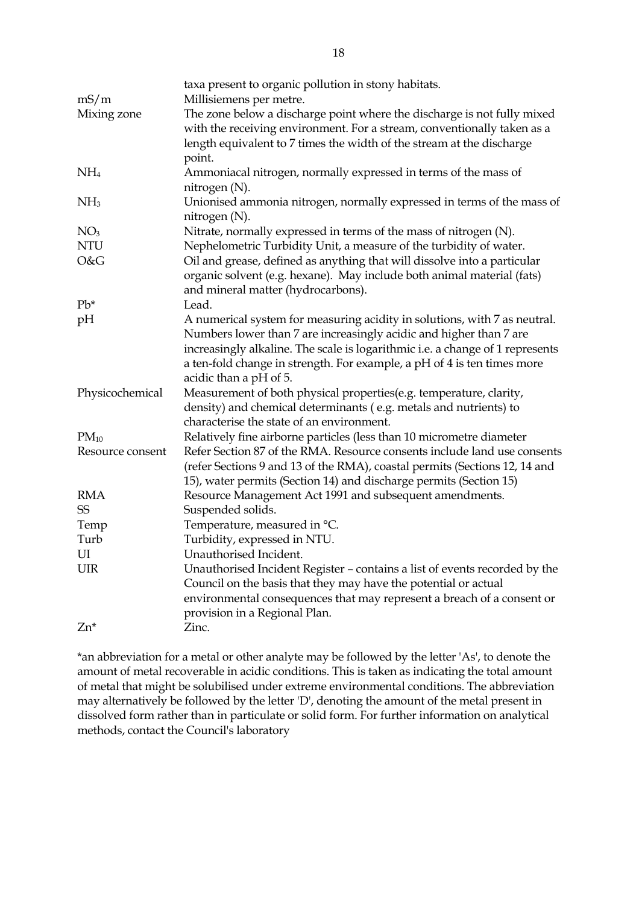|                  | taxa present to organic pollution in stony habitats.                                    |
|------------------|-----------------------------------------------------------------------------------------|
| mS/m             | Millisiemens per metre.                                                                 |
| Mixing zone      | The zone below a discharge point where the discharge is not fully mixed                 |
|                  | with the receiving environment. For a stream, conventionally taken as a                 |
|                  | length equivalent to 7 times the width of the stream at the discharge                   |
|                  | point.                                                                                  |
| NH <sub>4</sub>  | Ammoniacal nitrogen, normally expressed in terms of the mass of                         |
|                  | nitrogen (N).                                                                           |
| NH <sub>3</sub>  | Unionised ammonia nitrogen, normally expressed in terms of the mass of<br>nitrogen (N). |
| NO <sub>3</sub>  | Nitrate, normally expressed in terms of the mass of nitrogen (N).                       |
| <b>NTU</b>       | Nephelometric Turbidity Unit, a measure of the turbidity of water.                      |
| O&G              | Oil and grease, defined as anything that will dissolve into a particular                |
|                  | organic solvent (e.g. hexane). May include both animal material (fats)                  |
|                  | and mineral matter (hydrocarbons).                                                      |
| $Pb*$            | Lead.                                                                                   |
| pH               | A numerical system for measuring acidity in solutions, with 7 as neutral.               |
|                  | Numbers lower than 7 are increasingly acidic and higher than 7 are                      |
|                  | increasingly alkaline. The scale is logarithmic i.e. a change of 1 represents           |
|                  | a ten-fold change in strength. For example, a pH of 4 is ten times more                 |
|                  | acidic than a pH of 5.                                                                  |
| Physicochemical  | Measurement of both physical properties(e.g. temperature, clarity,                      |
|                  | density) and chemical determinants (e.g. metals and nutrients) to                       |
|                  | characterise the state of an environment.                                               |
| $PM_{10}$        | Relatively fine airborne particles (less than 10 micrometre diameter                    |
| Resource consent | Refer Section 87 of the RMA. Resource consents include land use consents                |
|                  | (refer Sections 9 and 13 of the RMA), coastal permits (Sections 12, 14 and              |
|                  | 15), water permits (Section 14) and discharge permits (Section 15)                      |
| <b>RMA</b>       | Resource Management Act 1991 and subsequent amendments.                                 |
| <b>SS</b>        | Suspended solids.                                                                       |
| Temp             | Temperature, measured in °C.                                                            |
| Turb             | Turbidity, expressed in NTU.                                                            |
| UI               | Unauthorised Incident.                                                                  |
| <b>UIR</b>       | Unauthorised Incident Register - contains a list of events recorded by the              |
|                  | Council on the basis that they may have the potential or actual                         |
|                  | environmental consequences that may represent a breach of a consent or                  |
|                  | provision in a Regional Plan.                                                           |
| $Zn^*$           | Zinc.                                                                                   |

\*an abbreviation for a metal or other analyte may be followed by the letter 'As', to denote the amount of metal recoverable in acidic conditions. This is taken as indicating the total amount of metal that might be solubilised under extreme environmental conditions. The abbreviation may alternatively be followed by the letter 'D', denoting the amount of the metal present in dissolved form rather than in particulate or solid form. For further information on analytical methods, contact the Council's laboratory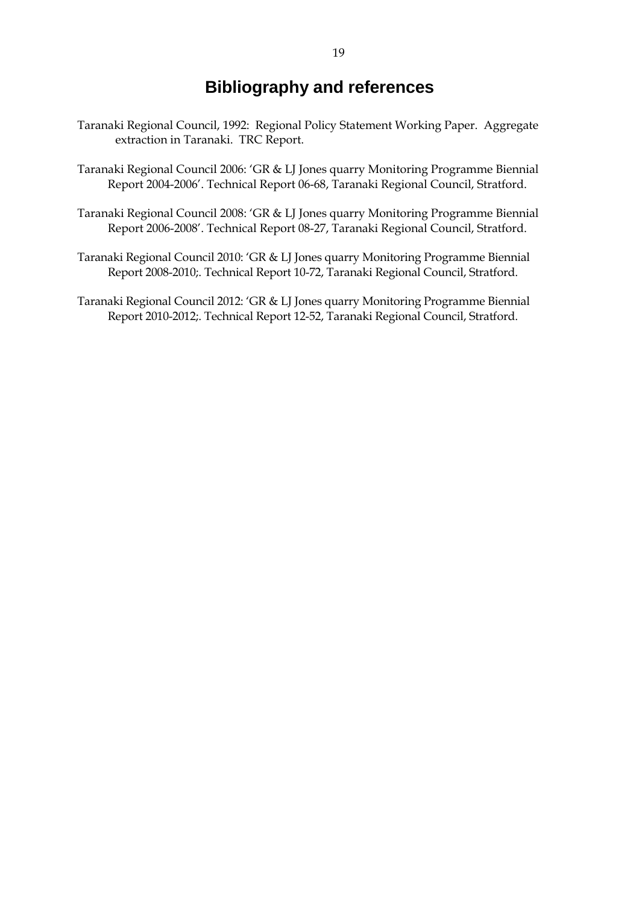## **Bibliography and references**

- Taranaki Regional Council, 1992: Regional Policy Statement Working Paper. Aggregate extraction in Taranaki. TRC Report.
- Taranaki Regional Council 2006: 'GR & LJ Jones quarry Monitoring Programme Biennial Report 2004-2006'. Technical Report 06-68, Taranaki Regional Council, Stratford.
- Taranaki Regional Council 2008: 'GR & LJ Jones quarry Monitoring Programme Biennial Report 2006-2008'. Technical Report 08-27, Taranaki Regional Council, Stratford.
- Taranaki Regional Council 2010: 'GR & LJ Jones quarry Monitoring Programme Biennial Report 2008-2010;. Technical Report 10-72, Taranaki Regional Council, Stratford.
- Taranaki Regional Council 2012: 'GR & LJ Jones quarry Monitoring Programme Biennial Report 2010-2012;. Technical Report 12-52, Taranaki Regional Council, Stratford.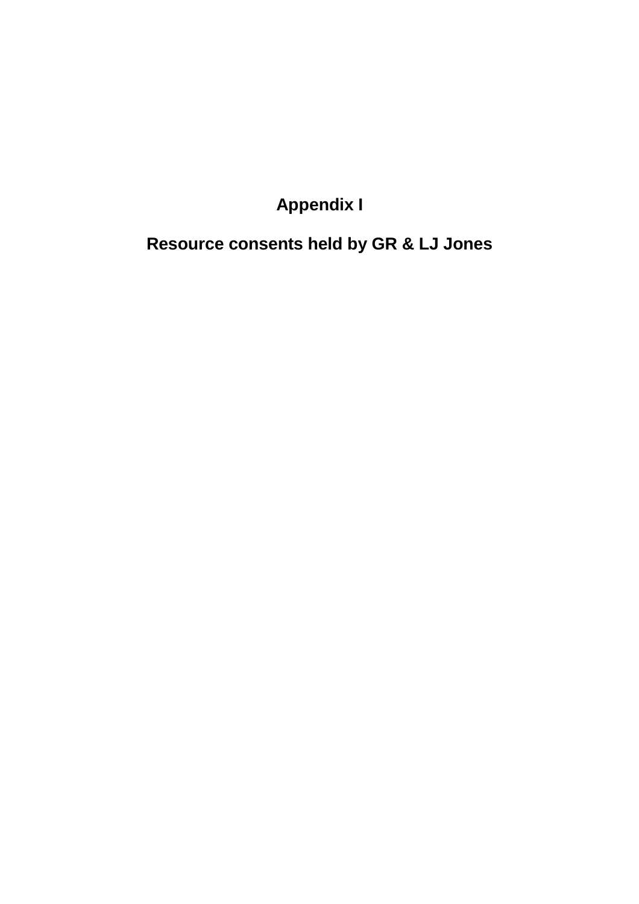## **Appendix I**

## **Resource consents held by GR & LJ Jones**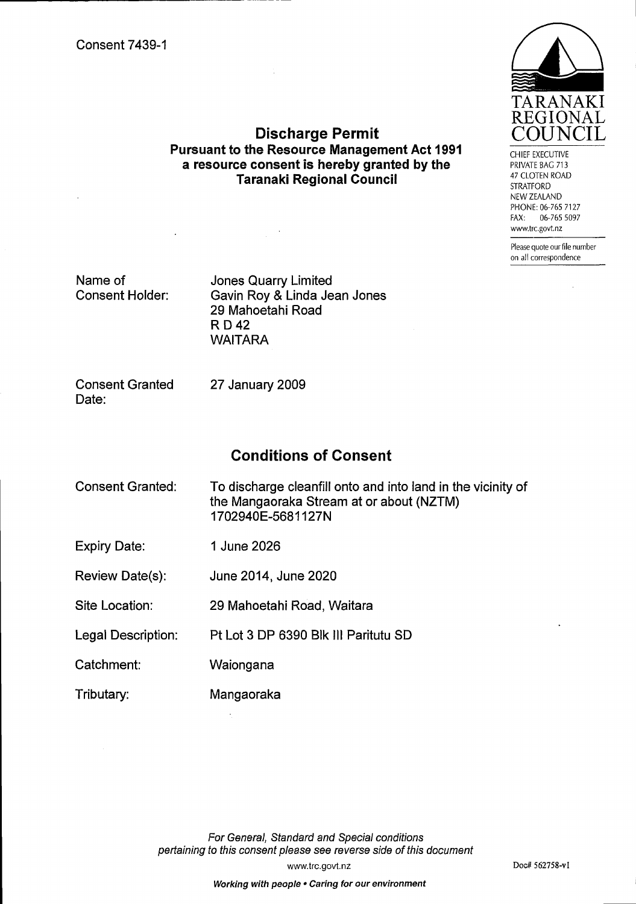

CHIEF EXECUTIVE PRIVATE BAG 713 **47 CLOTEN ROAD STRATFORD** NEW ZEALAND PHONE: 06-765 7127 FAX: 06-765 5097 www.trc.govt.nz

Please quote our file number on all correspondence

Name of **Consent Holder:** 

**Jones Quarry Limited** Gavin Roy & Linda Jean Jones 29 Mahoetahi Road **RD42 WAITARA** 

**Discharge Permit Pursuant to the Resource Management Act 1991** 

a resource consent is hereby granted by the

**Taranaki Regional Council** 

**Consent Granted** 27 January 2009 Date:

## **Conditions of Consent**

| Consent Granted:   | To discharge cleanfill onto and into land in the vicinity of<br>the Mangaoraka Stream at or about (NZTM)<br>1702940E-5681127N |
|--------------------|-------------------------------------------------------------------------------------------------------------------------------|
| Expiry Date:       | 1 June 2026                                                                                                                   |
| Review Date(s):    | June 2014, June 2020                                                                                                          |
| Site Location:     | 29 Mahoetahi Road, Waitara                                                                                                    |
| Legal Description: | Pt Lot 3 DP 6390 Blk III Paritutu SD                                                                                          |
| Catchment:         | Waiongana                                                                                                                     |

Mangaoraka Tributary:

> For General, Standard and Special conditions pertaining to this consent please see reverse side of this document www.trc.govt.nz

#### Working with people . Caring for our environment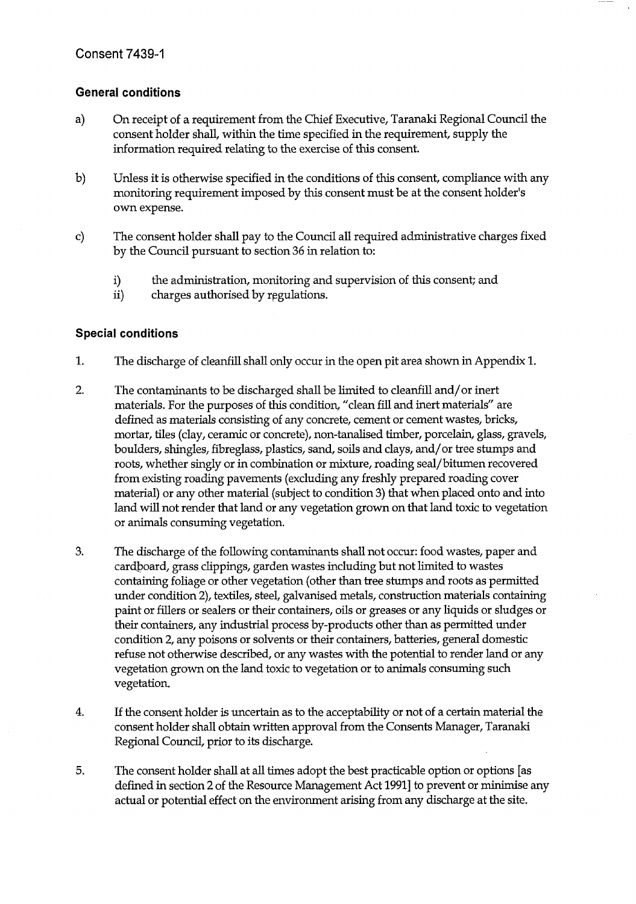#### **General conditions**

- $a)$ On receipt of a requirement from the Chief Executive, Taranaki Regional Council the consent holder shall, within the time specified in the requirement, supply the information required relating to the exercise of this consent.
- $\mathbf{b}$ Unless it is otherwise specified in the conditions of this consent, compliance with any monitoring requirement imposed by this consent must be at the consent holder's own expense.
- The consent holder shall pay to the Council all required administrative charges fixed  $\mathbf{c})$ by the Council pursuant to section 36 in relation to:
	- i) the administration, monitoring and supervision of this consent; and
	- $ii)$ charges authorised by regulations.

#### **Special conditions**

- 1. The discharge of cleanfill shall only occur in the open pit area shown in Appendix 1.
- $2.$ The contaminants to be discharged shall be limited to cleanfill and/or inert materials. For the purposes of this condition, "clean fill and inert materials" are defined as materials consisting of any concrete, cement or cement wastes, bricks, mortar, tiles (clay, ceramic or concrete), non-tanalised timber, porcelain, glass, gravels, boulders, shingles, fibreglass, plastics, sand, soils and clays, and/or tree stumps and roots, whether singly or in combination or mixture, roading seal/bitumen recovered from existing roading pavements (excluding any freshly prepared roading cover material) or any other material (subject to condition 3) that when placed onto and into land will not render that land or any vegetation grown on that land toxic to vegetation or animals consuming vegetation.
- 3. The discharge of the following contaminants shall not occur: food wastes, paper and cardboard, grass clippings, garden wastes including but not limited to wastes containing foliage or other vegetation (other than tree stumps and roots as permitted under condition 2), textiles, steel, galvanised metals, construction materials containing paint or fillers or sealers or their containers, oils or greases or any liquids or sludges or their containers, any industrial process by-products other than as permitted under condition 2, any poisons or solvents or their containers, batteries, general domestic refuse not otherwise described, or any wastes with the potential to render land or any vegetation grown on the land toxic to vegetation or to animals consuming such vegetation.
- $4.$ If the consent holder is uncertain as to the acceptability or not of a certain material the consent holder shall obtain written approval from the Consents Manager, Taranaki Regional Council, prior to its discharge.
- 5. The consent holder shall at all times adopt the best practicable option or options [as defined in section 2 of the Resource Management Act 1991] to prevent or minimise any actual or potential effect on the environment arising from any discharge at the site.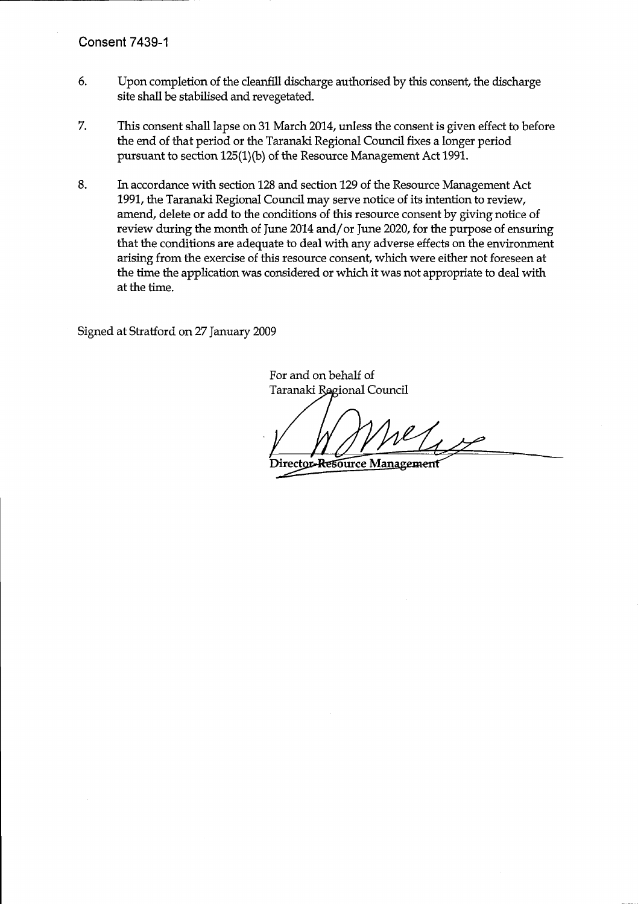- 6. Upon completion of the cleanfill discharge authorised by this consent, the discharge site shall be stabilised and revegetated.
- 7. This consent shall lapse on 31 March 2014, unless the consent is given effect to before the end of that period or the Taranaki Regional Council fixes a longer period pursuant to section 125(1)(b) of the Resource Management Act 1991.
- 8. In accordance with section 128 and section 129 of the Resource Management Act 1991, the Taranaki Regional Council may serve notice of its intention to review, amend, delete or add to the conditions of this resource consent by giving notice of review during the month of June 2014 and/or June 2020, for the purpose of ensuring that the conditions are adequate to deal with any adverse effects on the environment arising from the exercise of this resource consent, which were either not foreseen at the time the application was considered or which it was not appropriate to deal with at the time.

Signed at Stratford on 27 January 2009

For and on behalf of Taranaki Regional Council

 $ell_{\text{A2P}}$ 

Director-Resource Management